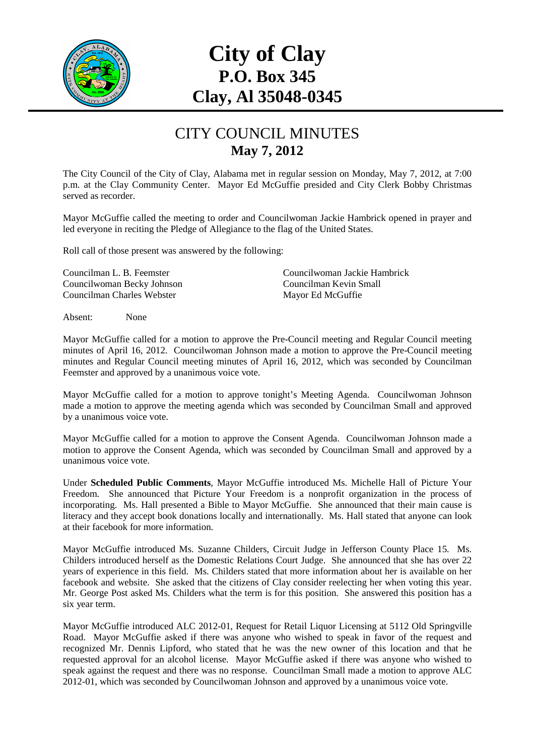

## **City of Clay P.O. Box 345 Clay, Al 35048-0345**

## CITY COUNCIL MINUTES **May 7, 2012**

The City Council of the City of Clay, Alabama met in regular session on Monday, May 7, 2012, at 7:00 p.m. at the Clay Community Center. Mayor Ed McGuffie presided and City Clerk Bobby Christmas served as recorder.

Mayor McGuffie called the meeting to order and Councilwoman Jackie Hambrick opened in prayer and led everyone in reciting the Pledge of Allegiance to the flag of the United States.

Roll call of those present was answered by the following:

Councilwoman Becky Johnson Councilman Kevin Small Councilman Charles Webster Mayor Ed McGuffie

Councilman L. B. Feemster Councilwoman Jackie Hambrick

Absent: None

Mayor McGuffie called for a motion to approve the Pre-Council meeting and Regular Council meeting minutes of April 16, 2012. Councilwoman Johnson made a motion to approve the Pre-Council meeting minutes and Regular Council meeting minutes of April 16, 2012, which was seconded by Councilman Feemster and approved by a unanimous voice vote.

Mayor McGuffie called for a motion to approve tonight's Meeting Agenda. Councilwoman Johnson made a motion to approve the meeting agenda which was seconded by Councilman Small and approved by a unanimous voice vote.

Mayor McGuffie called for a motion to approve the Consent Agenda. Councilwoman Johnson made a motion to approve the Consent Agenda, which was seconded by Councilman Small and approved by a unanimous voice vote.

Under **Scheduled Public Comments**, Mayor McGuffie introduced Ms. Michelle Hall of Picture Your Freedom. She announced that Picture Your Freedom is a nonprofit organization in the process of incorporating. Ms. Hall presented a Bible to Mayor McGuffie. She announced that their main cause is literacy and they accept book donations locally and internationally. Ms. Hall stated that anyone can look at their facebook for more information.

Mayor McGuffie introduced Ms. Suzanne Childers, Circuit Judge in Jefferson County Place 15. Ms. Childers introduced herself as the Domestic Relations Court Judge. She announced that she has over 22 years of experience in this field. Ms. Childers stated that more information about her is available on her facebook and website. She asked that the citizens of Clay consider reelecting her when voting this year. Mr. George Post asked Ms. Childers what the term is for this position. She answered this position has a six year term.

Mayor McGuffie introduced ALC 2012-01, Request for Retail Liquor Licensing at 5112 Old Springville Road. Mayor McGuffie asked if there was anyone who wished to speak in favor of the request and recognized Mr. Dennis Lipford, who stated that he was the new owner of this location and that he requested approval for an alcohol license. Mayor McGuffie asked if there was anyone who wished to speak against the request and there was no response. Councilman Small made a motion to approve ALC 2012-01, which was seconded by Councilwoman Johnson and approved by a unanimous voice vote.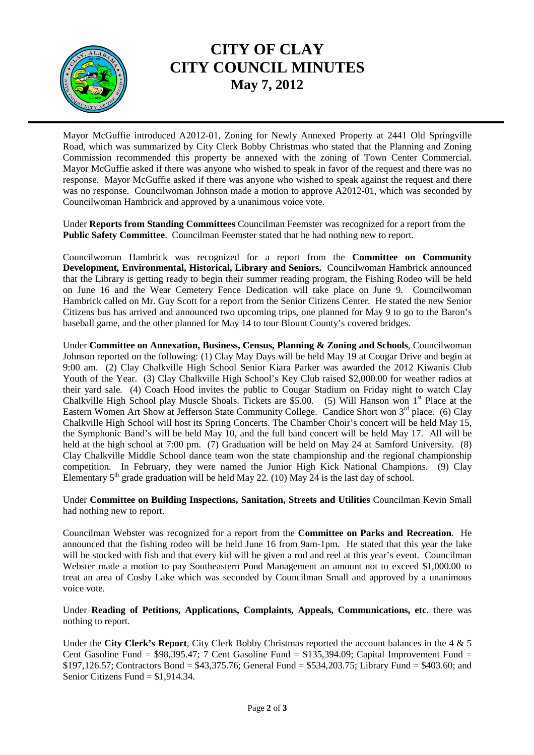

## **CITY OF CLAY CITY COUNCIL MINUTES May 7, 2012**

Mayor McGuffie introduced A2012-01, Zoning for Newly Annexed Property at 2441 Old Springville Road, which was summarized by City Clerk Bobby Christmas who stated that the Planning and Zoning Commission recommended this property be annexed with the zoning of Town Center Commercial. Mayor McGuffie asked if there was anyone who wished to speak in favor of the request and there was no response. Mayor McGuffie asked if there was anyone who wished to speak against the request and there was no response. Councilwoman Johnson made a motion to approve A2012-01, which was seconded by Councilwoman Hambrick and approved by a unanimous voice vote.

Under **Reports from Standing Committees** Councilman Feemster was recognized for a report from the **Public Safety Committee**. Councilman Feemster stated that he had nothing new to report.

Councilwoman Hambrick was recognized for a report from the **Committee on Community Development, Environmental, Historical, Library and Seniors.** Councilwoman Hambrick announced that the Library is getting ready to begin their summer reading program, the Fishing Rodeo will be held on June 16 and the Wear Cemetery Fence Dedication will take place on June 9. Councilwoman Hambrick called on Mr. Guy Scott for a report from the Senior Citizens Center. He stated the new Senior Citizens bus has arrived and announced two upcoming trips, one planned for May 9 to go to the Baron's baseball game, and the other planned for May 14 to tour Blount County's covered bridges.

Under **Committee on Annexation, Business, Census, Planning & Zoning and Schools**, Councilwoman Johnson reported on the following: (1) Clay May Days will be held May 19 at Cougar Drive and begin at 9:00 am. (2) Clay Chalkville High School Senior Kiara Parker was awarded the 2012 Kiwanis Club Youth of the Year. (3) Clay Chalkville High School's Key Club raised \$2,000.00 for weather radios at their yard sale. (4) Coach Hood invites the public to Cougar Stadium on Friday night to watch Clay Chalkville High School play Muscle Shoals. Tickets are \$5.00. (5) Will Hanson won 1<sup>st</sup> Place at the Eastern Women Art Show at Jefferson State Community College. Candice Short won 3<sup>rd</sup> place. (6) Clay Chalkville High School will host its Spring Concerts. The Chamber Choir's concert will be held May 15, the Symphonic Band's will be held May 10, and the full band concert will be held May 17. All will be held at the high school at 7:00 pm. (7) Graduation will be held on May 24 at Samford University. (8) Clay Chalkville Middle School dance team won the state championship and the regional championship competition. In February, they were named the Junior High Kick National Champions. (9) Clay Elementary  $5<sup>th</sup>$  grade graduation will be held May 22. (10) May 24 is the last day of school.

Under **Committee on Building Inspections, Sanitation, Streets and Utilities** Councilman Kevin Small had nothing new to report.

Councilman Webster was recognized for a report from the **Committee on Parks and Recreation**. He announced that the fishing rodeo will be held June 16 from 9am-1pm. He stated that this year the lake will be stocked with fish and that every kid will be given a rod and reel at this year's event. Councilman Webster made a motion to pay Southeastern Pond Management an amount not to exceed \$1,000.00 to treat an area of Cosby Lake which was seconded by Councilman Small and approved by a unanimous voice vote.

Under **Reading of Petitions, Applications, Complaints, Appeals, Communications, etc**. there was nothing to report.

Under the **City Clerk's Report**, City Clerk Bobby Christmas reported the account balances in the 4 & 5 Cent Gasoline Fund =  $$98,395.47$ ; 7 Cent Gasoline Fund =  $$135,394.09$ ; Capital Improvement Fund = \$197,126.57; Contractors Bond = \$43,375.76; General Fund = \$534,203.75; Library Fund = \$403.60; and Senior Citizens Fund = \$1,914.34.